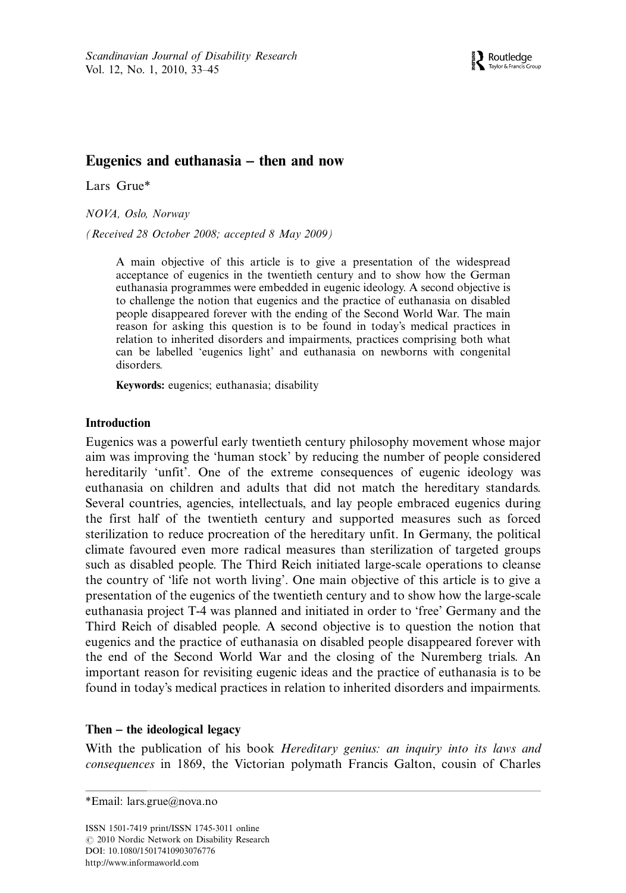# Eugenics and euthanasia  $-$  then and now

Lars Grue\*

NOVA, Oslo, Norway

(Received 28 October 2008; accepted 8 May 2009)

A main objective of this article is to give a presentation of the widespread acceptance of eugenics in the twentieth century and to show how the German euthanasia programmes were embedded in eugenic ideology. A second objective is to challenge the notion that eugenics and the practice of euthanasia on disabled people disappeared forever with the ending of the Second World War. The main reason for asking this question is to be found in today's medical practices in relation to inherited disorders and impairments, practices comprising both what can be labelled 'eugenics light' and euthanasia on newborns with congenital disorders.

Keywords: eugenics; euthanasia; disability

### Introduction

Eugenics was a powerful early twentieth century philosophy movement whose major aim was improving the 'human stock' by reducing the number of people considered hereditarily 'unfit'. One of the extreme consequences of eugenic ideology was euthanasia on children and adults that did not match the hereditary standards. Several countries, agencies, intellectuals, and lay people embraced eugenics during the first half of the twentieth century and supported measures such as forced sterilization to reduce procreation of the hereditary unfit. In Germany, the political climate favoured even more radical measures than sterilization of targeted groups such as disabled people. The Third Reich initiated large-scale operations to cleanse the country of 'life not worth living'. One main objective of this article is to give a presentation of the eugenics of the twentieth century and to show how the large-scale euthanasia project T-4 was planned and initiated in order to 'free' Germany and the Third Reich of disabled people. A second objective is to question the notion that eugenics and the practice of euthanasia on disabled people disappeared forever with the end of the Second World War and the closing of the Nuremberg trials. An important reason for revisiting eugenic ideas and the practice of euthanasia is to be found in today's medical practices in relation to inherited disorders and impairments.

### Then  $-$  the ideological legacy

With the publication of his book *Hereditary genius: an inquiry into its laws and* consequences in 1869, the Victorian polymath Francis Galton, cousin of Charles

<sup>\*</sup>Email: lars.grue@nova.no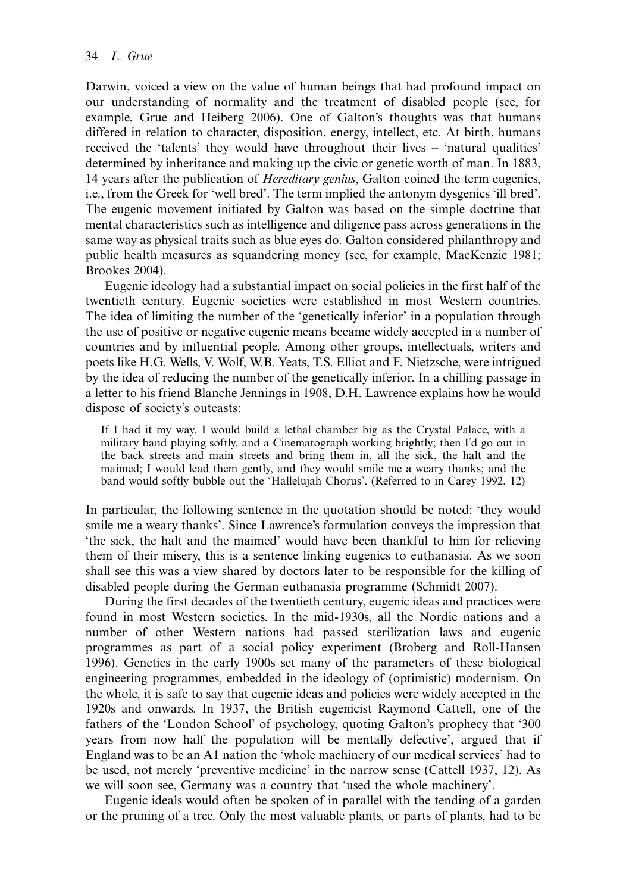### 34 L. Grue

Darwin, voiced a view on the value of human beings that had profound impact on our understanding of normality and the treatment of disabled people (see, for example, Grue and Heiberg 2006). One of Galton's thoughts was that humans differed in relation to character, disposition, energy, intellect, etc. At birth, humans received the 'talents' they would have throughout their lives – 'natural qualities' determined by inheritance and making up the civic or genetic worth of man. In 1883, 14 years after the publication of *Hereditary genius*, Galton coined the term eugenics, i.e., from the Greek for 'well bred'. The term implied the antonym dysgenics 'ill bred'. The eugenic movement initiated by Galton was based on the simple doctrine that mental characteristics such as intelligence and diligence pass across generations in the same way as physical traits such as blue eyes do. Galton considered philanthropy and public health measures as squandering money (see, for example, MacKenzie 1981; Brookes 2004).

Eugenic ideology had a substantial impact on social policies in the first half of the twentieth century. Eugenic societies were established in most Western countries. The idea of limiting the number of the 'genetically inferior' in a population through the use of positive or negative eugenic means became widely accepted in a number of countries and by influential people. Among other groups, intellectuals, writers and poets like H.G. Wells, V. Wolf, W.B. Yeats, T.S. Elliot and F. Nietzsche, were intrigued by the idea of reducing the number of the genetically inferior. In a chilling passage in a letter to his friend Blanche Jennings in 1908, D.H. Lawrence explains how he would dispose of society's outcasts:

If I had it my way, I would build a lethal chamber big as the Crystal Palace, with a military band playing softly, and a Cinematograph working brightly; then I'd go out in the back streets and main streets and bring them in, all the sick, the halt and the maimed; I would lead them gently, and they would smile me a weary thanks; and the band would softly bubble out the 'Hallelujah Chorus'. (Referred to in Carey 1992, 12)

In particular, the following sentence in the quotation should be noted: 'they would smile me a weary thanks'. Since Lawrence's formulation conveys the impression that 'the sick, the halt and the maimed' would have been thankful to him for relieving them of their misery, this is a sentence linking eugenics to euthanasia. As we soon shall see this was a view shared by doctors later to be responsible for the killing of disabled people during the German euthanasia programme (Schmidt 2007).

During the first decades of the twentieth century, eugenic ideas and practices were found in most Western societies. In the mid-1930s, all the Nordic nations and a number of other Western nations had passed sterilization laws and eugenic programmes as part of a social policy experiment (Broberg and Roll-Hansen 1996). Genetics in the early 1900s set many of the parameters of these biological engineering programmes, embedded in the ideology of (optimistic) modernism. On the whole, it is safe to say that eugenic ideas and policies were widely accepted in the 1920s and onwards. In 1937, the British eugenicist Raymond Cattell, one of the fathers of the 'London School' of psychology, quoting Galton's prophecy that '300 years from now half the population will be mentally defective', argued that if England was to be an A1 nation the 'whole machinery of our medical services' had to be used, not merely 'preventive medicine' in the narrow sense (Cattell 1937, 12). As we will soon see, Germany was a country that 'used the whole machinery'.

Eugenic ideals would often be spoken of in parallel with the tending of a garden or the pruning of a tree. Only the most valuable plants, or parts of plants, had to be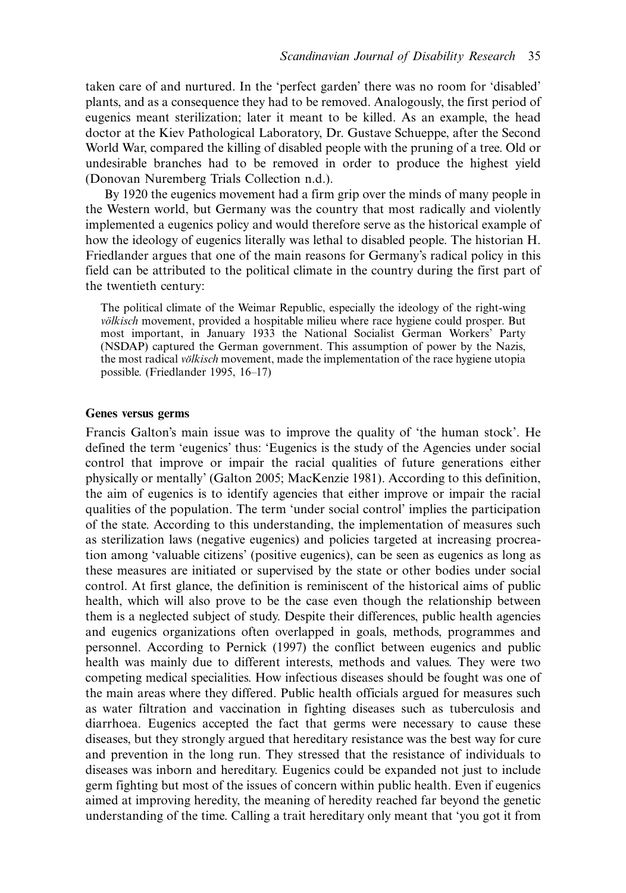taken care of and nurtured. In the 'perfect garden' there was no room for 'disabled' plants, and as a consequence they had to be removed. Analogously, the first period of eugenics meant sterilization; later it meant to be killed. As an example, the head doctor at the Kiev Pathological Laboratory, Dr. Gustave Schueppe, after the Second World War, compared the killing of disabled people with the pruning of a tree. Old or undesirable branches had to be removed in order to produce the highest yield (Donovan Nuremberg Trials Collection n.d.).

By 1920 the eugenics movement had a firm grip over the minds of many people in the Western world, but Germany was the country that most radically and violently implemented a eugenics policy and would therefore serve as the historical example of how the ideology of eugenics literally was lethal to disabled people. The historian H. Friedlander argues that one of the main reasons for Germany's radical policy in this field can be attributed to the political climate in the country during the first part of the twentieth century:

The political climate of the Weimar Republic, especially the ideology of the right-wing völkisch movement, provided a hospitable milieu where race hygiene could prosper. But most important, in January 1933 the National Socialist German Workers' Party (NSDAP) captured the German government. This assumption of power by the Nazis, the most radical völkisch movement, made the implementation of the race hygiene utopia possible. (Friedlander 1995, 16–17)

### Genes versus germs

Francis Galton's main issue was to improve the quality of 'the human stock'. He defined the term 'eugenics' thus: 'Eugenics is the study of the Agencies under social control that improve or impair the racial qualities of future generations either physically or mentally' (Galton 2005; MacKenzie 1981). According to this definition, the aim of eugenics is to identify agencies that either improve or impair the racial qualities of the population. The term 'under social control' implies the participation of the state. According to this understanding, the implementation of measures such as sterilization laws (negative eugenics) and policies targeted at increasing procreation among 'valuable citizens' (positive eugenics), can be seen as eugenics as long as these measures are initiated or supervised by the state or other bodies under social control. At first glance, the definition is reminiscent of the historical aims of public health, which will also prove to be the case even though the relationship between them is a neglected subject of study. Despite their differences, public health agencies and eugenics organizations often overlapped in goals, methods, programmes and personnel. According to Pernick (1997) the conflict between eugenics and public health was mainly due to different interests, methods and values. They were two competing medical specialities. How infectious diseases should be fought was one of the main areas where they differed. Public health officials argued for measures such as water filtration and vaccination in fighting diseases such as tuberculosis and diarrhoea. Eugenics accepted the fact that germs were necessary to cause these diseases, but they strongly argued that hereditary resistance was the best way for cure and prevention in the long run. They stressed that the resistance of individuals to diseases was inborn and hereditary. Eugenics could be expanded not just to include germ fighting but most of the issues of concern within public health. Even if eugenics aimed at improving heredity, the meaning of heredity reached far beyond the genetic understanding of the time. Calling a trait hereditary only meant that 'you got it from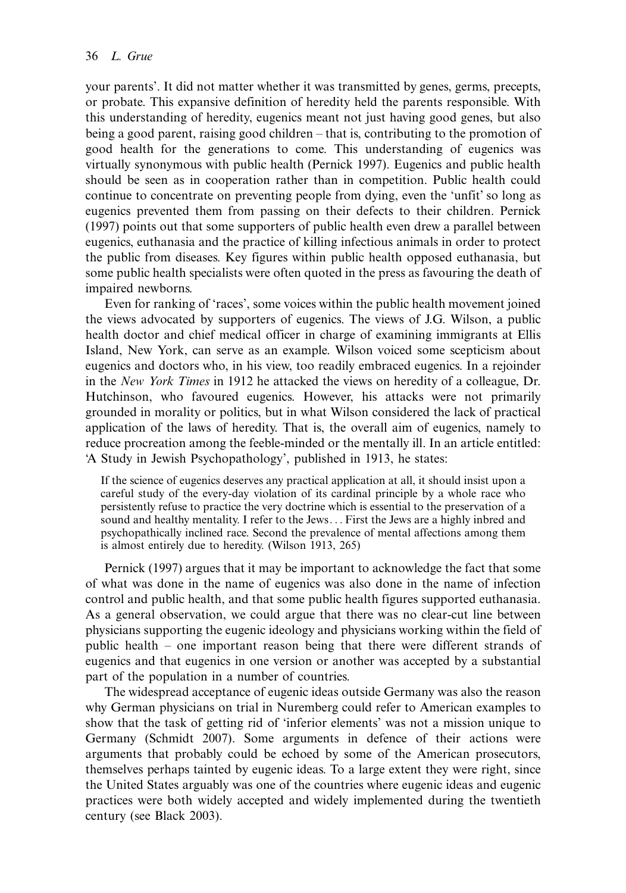your parents'. It did not matter whether it was transmitted by genes, germs, precepts, or probate. This expansive definition of heredity held the parents responsible. With this understanding of heredity, eugenics meant not just having good genes, but also being a good parent, raising good children – that is, contributing to the promotion of good health for the generations to come. This understanding of eugenics was virtually synonymous with public health (Pernick 1997). Eugenics and public health should be seen as in cooperation rather than in competition. Public health could continue to concentrate on preventing people from dying, even the 'unfit' so long as eugenics prevented them from passing on their defects to their children. Pernick (1997) points out that some supporters of public health even drew a parallel between eugenics, euthanasia and the practice of killing infectious animals in order to protect the public from diseases. Key figures within public health opposed euthanasia, but some public health specialists were often quoted in the press as favouring the death of impaired newborns.

Even for ranking of 'races', some voices within the public health movement joined the views advocated by supporters of eugenics. The views of J.G. Wilson, a public health doctor and chief medical officer in charge of examining immigrants at Ellis Island, New York, can serve as an example. Wilson voiced some scepticism about eugenics and doctors who, in his view, too readily embraced eugenics. In a rejoinder in the New York Times in 1912 he attacked the views on heredity of a colleague, Dr. Hutchinson, who favoured eugenics. However, his attacks were not primarily grounded in morality or politics, but in what Wilson considered the lack of practical application of the laws of heredity. That is, the overall aim of eugenics, namely to reduce procreation among the feeble-minded or the mentally ill. In an article entitled: 'A Study in Jewish Psychopathology', published in 1913, he states:

If the science of eugenics deserves any practical application at all, it should insist upon a careful study of the every-day violation of its cardinal principle by a whole race who persistently refuse to practice the very doctrine which is essential to the preservation of a sound and healthy mentality. I refer to the Jews... First the Jews are a highly inbred and psychopathically inclined race. Second the prevalence of mental affections among them is almost entirely due to heredity. (Wilson 1913, 265)

Pernick (1997) argues that it may be important to acknowledge the fact that some of what was done in the name of eugenics was also done in the name of infection control and public health, and that some public health figures supported euthanasia. As a general observation, we could argue that there was no clear-cut line between physicians supporting the eugenic ideology and physicians working within the field of public health  $-$  one important reason being that there were different strands of eugenics and that eugenics in one version or another was accepted by a substantial part of the population in a number of countries.

The widespread acceptance of eugenic ideas outside Germany was also the reason why German physicians on trial in Nuremberg could refer to American examples to show that the task of getting rid of 'inferior elements' was not a mission unique to Germany (Schmidt 2007). Some arguments in defence of their actions were arguments that probably could be echoed by some of the American prosecutors, themselves perhaps tainted by eugenic ideas. To a large extent they were right, since the United States arguably was one of the countries where eugenic ideas and eugenic practices were both widely accepted and widely implemented during the twentieth century (see Black 2003).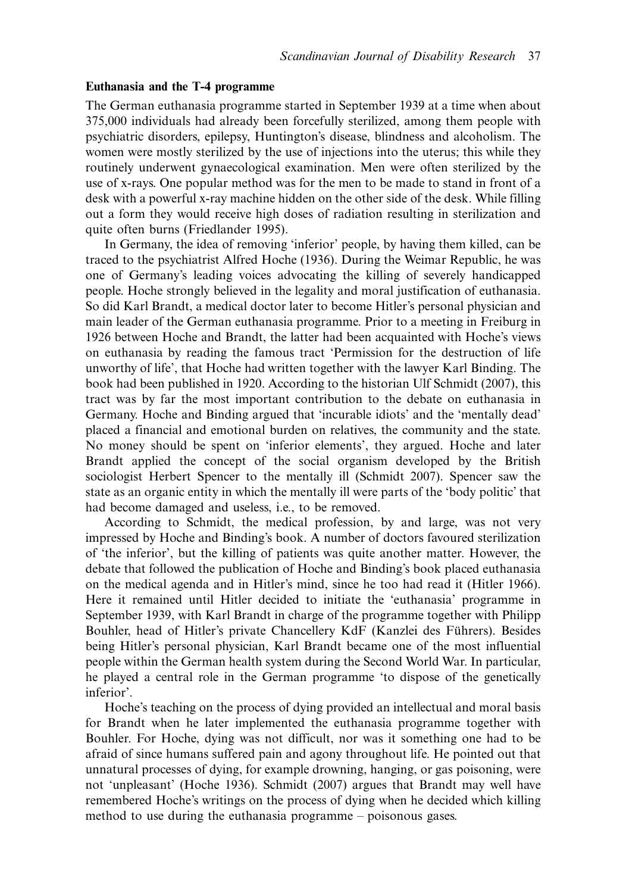### Euthanasia and the T-4 programme

The German euthanasia programme started in September 1939 at a time when about 375,000 individuals had already been forcefully sterilized, among them people with psychiatric disorders, epilepsy, Huntington's disease, blindness and alcoholism. The women were mostly sterilized by the use of injections into the uterus; this while they routinely underwent gynaecological examination. Men were often sterilized by the use of x-rays. One popular method was for the men to be made to stand in front of a desk with a powerful x-ray machine hidden on the other side of the desk. While filling out a form they would receive high doses of radiation resulting in sterilization and quite often burns (Friedlander 1995).

In Germany, the idea of removing 'inferior' people, by having them killed, can be traced to the psychiatrist Alfred Hoche (1936). During the Weimar Republic, he was one of Germany's leading voices advocating the killing of severely handicapped people. Hoche strongly believed in the legality and moral justification of euthanasia. So did Karl Brandt, a medical doctor later to become Hitler's personal physician and main leader of the German euthanasia programme. Prior to a meeting in Freiburg in 1926 between Hoche and Brandt, the latter had been acquainted with Hoche's views on euthanasia by reading the famous tract 'Permission for the destruction of life unworthy of life', that Hoche had written together with the lawyer Karl Binding. The book had been published in 1920. According to the historian Ulf Schmidt (2007), this tract was by far the most important contribution to the debate on euthanasia in Germany. Hoche and Binding argued that 'incurable idiots' and the 'mentally dead' placed a financial and emotional burden on relatives, the community and the state. No money should be spent on 'inferior elements', they argued. Hoche and later Brandt applied the concept of the social organism developed by the British sociologist Herbert Spencer to the mentally ill (Schmidt 2007). Spencer saw the state as an organic entity in which the mentally ill were parts of the 'body politic' that had become damaged and useless, i.e., to be removed.

According to Schmidt, the medical profession, by and large, was not very impressed by Hoche and Binding's book. A number of doctors favoured sterilization of 'the inferior', but the killing of patients was quite another matter. However, the debate that followed the publication of Hoche and Binding's book placed euthanasia on the medical agenda and in Hitler's mind, since he too had read it (Hitler 1966). Here it remained until Hitler decided to initiate the 'euthanasia' programme in September 1939, with Karl Brandt in charge of the programme together with Philipp Bouhler, head of Hitler's private Chancellery KdF (Kanzlei des Führers). Besides being Hitler's personal physician, Karl Brandt became one of the most influential people within the German health system during the Second World War. In particular, he played a central role in the German programme 'to dispose of the genetically inferior'.

Hoche's teaching on the process of dying provided an intellectual and moral basis for Brandt when he later implemented the euthanasia programme together with Bouhler. For Hoche, dying was not difficult, nor was it something one had to be afraid of since humans suffered pain and agony throughout life. He pointed out that unnatural processes of dying, for example drowning, hanging, or gas poisoning, were not 'unpleasant' (Hoche 1936). Schmidt (2007) argues that Brandt may well have remembered Hoche's writings on the process of dying when he decided which killing method to use during the euthanasia programme  $-$  poisonous gases.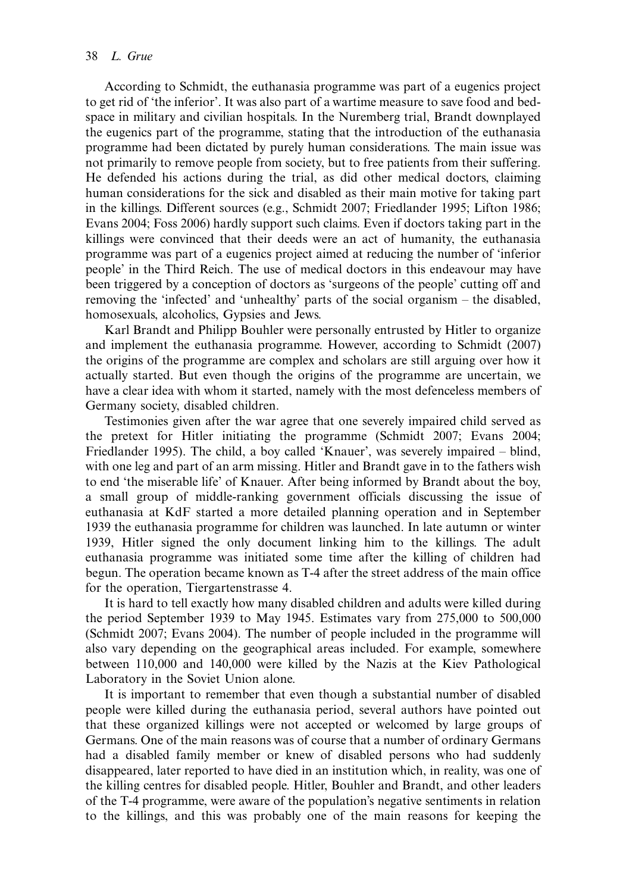According to Schmidt, the euthanasia programme was part of a eugenics project to get rid of 'the inferior'. It was also part of a wartime measure to save food and bedspace in military and civilian hospitals. In the Nuremberg trial, Brandt downplayed the eugenics part of the programme, stating that the introduction of the euthanasia programme had been dictated by purely human considerations. The main issue was not primarily to remove people from society, but to free patients from their suffering. He defended his actions during the trial, as did other medical doctors, claiming human considerations for the sick and disabled as their main motive for taking part in the killings. Different sources (e.g., Schmidt 2007; Friedlander 1995; Lifton 1986; Evans 2004; Foss 2006) hardly support such claims. Even if doctors taking part in the killings were convinced that their deeds were an act of humanity, the euthanasia programme was part of a eugenics project aimed at reducing the number of 'inferior people' in the Third Reich. The use of medical doctors in this endeavour may have been triggered by a conception of doctors as 'surgeons of the people' cutting off and removing the 'infected' and 'unhealthy' parts of the social organism – the disabled, homosexuals, alcoholics, Gypsies and Jews.

Karl Brandt and Philipp Bouhler were personally entrusted by Hitler to organize and implement the euthanasia programme. However, according to Schmidt (2007) the origins of the programme are complex and scholars are still arguing over how it actually started. But even though the origins of the programme are uncertain, we have a clear idea with whom it started, namely with the most defenceless members of Germany society, disabled children.

Testimonies given after the war agree that one severely impaired child served as the pretext for Hitler initiating the programme (Schmidt 2007; Evans 2004; Friedlander 1995). The child, a boy called 'Knauer', was severely impaired - blind, with one leg and part of an arm missing. Hitler and Brandt gave in to the fathers wish to end 'the miserable life' of Knauer. After being informed by Brandt about the boy, a small group of middle-ranking government officials discussing the issue of euthanasia at KdF started a more detailed planning operation and in September 1939 the euthanasia programme for children was launched. In late autumn or winter 1939, Hitler signed the only document linking him to the killings. The adult euthanasia programme was initiated some time after the killing of children had begun. The operation became known as T-4 after the street address of the main office for the operation, Tiergartenstrasse 4.

It is hard to tell exactly how many disabled children and adults were killed during the period September 1939 to May 1945. Estimates vary from 275,000 to 500,000 (Schmidt 2007; Evans 2004). The number of people included in the programme will also vary depending on the geographical areas included. For example, somewhere between 110,000 and 140,000 were killed by the Nazis at the Kiev Pathological Laboratory in the Soviet Union alone.

It is important to remember that even though a substantial number of disabled people were killed during the euthanasia period, several authors have pointed out that these organized killings were not accepted or welcomed by large groups of Germans. One of the main reasons was of course that a number of ordinary Germans had a disabled family member or knew of disabled persons who had suddenly disappeared, later reported to have died in an institution which, in reality, was one of the killing centres for disabled people. Hitler, Bouhler and Brandt, and other leaders of the T-4 programme, were aware of the population's negative sentiments in relation to the killings, and this was probably one of the main reasons for keeping the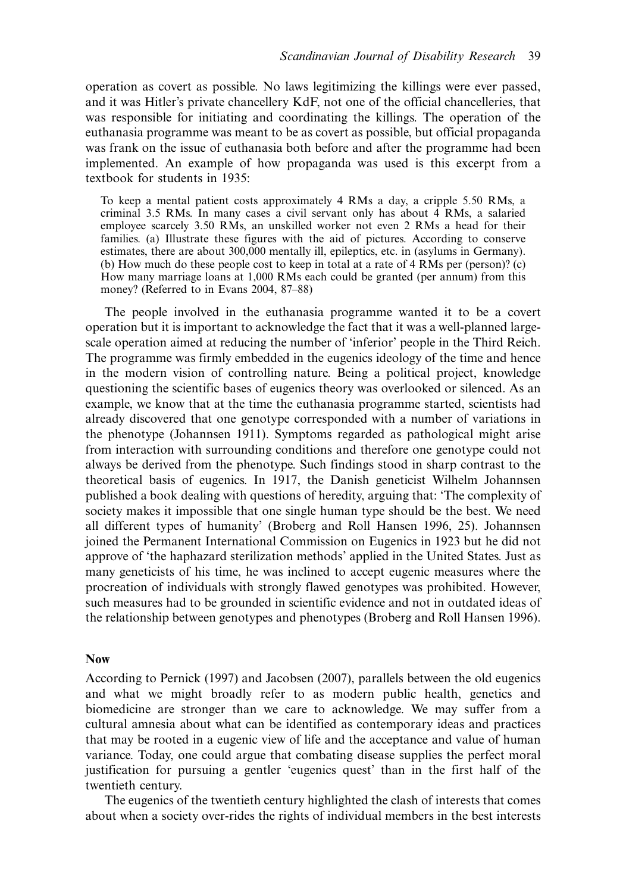operation as covert as possible. No laws legitimizing the killings were ever passed, and it was Hitler's private chancellery KdF, not one of the official chancelleries, that was responsible for initiating and coordinating the killings. The operation of the euthanasia programme was meant to be as covert as possible, but official propaganda was frank on the issue of euthanasia both before and after the programme had been implemented. An example of how propaganda was used is this excerpt from a textbook for students in 1935:

To keep a mental patient costs approximately 4 RMs a day, a cripple 5.50 RMs, a criminal 3.5 RMs. In many cases a civil servant only has about 4 RMs, a salaried employee scarcely 3.50 RMs, an unskilled worker not even 2 RMs a head for their families. (a) Illustrate these figures with the aid of pictures. According to conserve estimates, there are about 300,000 mentally ill, epileptics, etc. in (asylums in Germany). (b) How much do these people cost to keep in total at a rate of 4 RMs per (person)? (c) How many marriage loans at 1,000 RMs each could be granted (per annum) from this money? (Referred to in Evans 2004, 87–88)

The people involved in the euthanasia programme wanted it to be a covert operation but it is important to acknowledge the fact that it was a well-planned largescale operation aimed at reducing the number of 'inferior' people in the Third Reich. The programme was firmly embedded in the eugenics ideology of the time and hence in the modern vision of controlling nature. Being a political project, knowledge questioning the scientific bases of eugenics theory was overlooked or silenced. As an example, we know that at the time the euthanasia programme started, scientists had already discovered that one genotype corresponded with a number of variations in the phenotype (Johannsen 1911). Symptoms regarded as pathological might arise from interaction with surrounding conditions and therefore one genotype could not always be derived from the phenotype. Such findings stood in sharp contrast to the theoretical basis of eugenics. In 1917, the Danish geneticist Wilhelm Johannsen published a book dealing with questions of heredity, arguing that: 'The complexity of society makes it impossible that one single human type should be the best. We need all different types of humanity' (Broberg and Roll Hansen 1996, 25). Johannsen joined the Permanent International Commission on Eugenics in 1923 but he did not approve of 'the haphazard sterilization methods' applied in the United States. Just as many geneticists of his time, he was inclined to accept eugenic measures where the procreation of individuals with strongly flawed genotypes was prohibited. However, such measures had to be grounded in scientific evidence and not in outdated ideas of the relationship between genotypes and phenotypes (Broberg and Roll Hansen 1996).

#### Now

According to Pernick (1997) and Jacobsen (2007), parallels between the old eugenics and what we might broadly refer to as modern public health, genetics and biomedicine are stronger than we care to acknowledge. We may suffer from a cultural amnesia about what can be identified as contemporary ideas and practices that may be rooted in a eugenic view of life and the acceptance and value of human variance. Today, one could argue that combating disease supplies the perfect moral justification for pursuing a gentler 'eugenics quest' than in the first half of the twentieth century.

The eugenics of the twentieth century highlighted the clash of interests that comes about when a society over-rides the rights of individual members in the best interests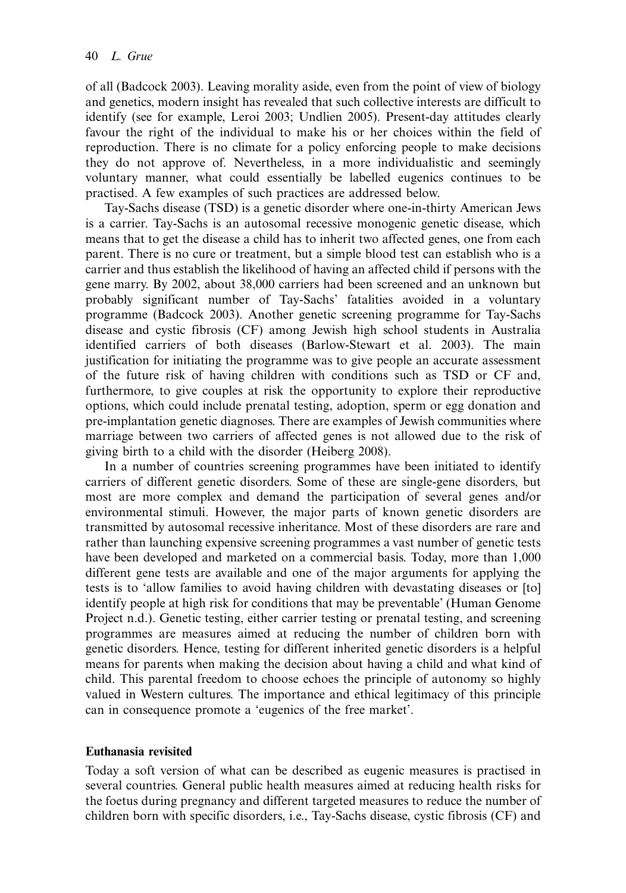of all (Badcock 2003). Leaving morality aside, even from the point of view of biology and genetics, modern insight has revealed that such collective interests are difficult to identify (see for example, Leroi 2003; Undlien 2005). Present-day attitudes clearly favour the right of the individual to make his or her choices within the field of reproduction. There is no climate for a policy enforcing people to make decisions they do not approve of. Nevertheless, in a more individualistic and seemingly voluntary manner, what could essentially be labelled eugenics continues to be practised. A few examples of such practices are addressed below.

Tay-Sachs disease (TSD) is a genetic disorder where one-in-thirty American Jews is a carrier. Tay-Sachs is an autosomal recessive monogenic genetic disease, which means that to get the disease a child has to inherit two affected genes, one from each parent. There is no cure or treatment, but a simple blood test can establish who is a carrier and thus establish the likelihood of having an affected child if persons with the gene marry. By 2002, about 38,000 carriers had been screened and an unknown but probably significant number of Tay-Sachs' fatalities avoided in a voluntary programme (Badcock 2003). Another genetic screening programme for Tay-Sachs disease and cystic fibrosis (CF) among Jewish high school students in Australia identified carriers of both diseases (Barlow-Stewart et al. 2003). The main justification for initiating the programme was to give people an accurate assessment of the future risk of having children with conditions such as TSD or CF and, furthermore, to give couples at risk the opportunity to explore their reproductive options, which could include prenatal testing, adoption, sperm or egg donation and pre-implantation genetic diagnoses. There are examples of Jewish communities where marriage between two carriers of affected genes is not allowed due to the risk of giving birth to a child with the disorder (Heiberg 2008).

In a number of countries screening programmes have been initiated to identify carriers of different genetic disorders. Some of these are single-gene disorders, but most are more complex and demand the participation of several genes and/or environmental stimuli. However, the major parts of known genetic disorders are transmitted by autosomal recessive inheritance. Most of these disorders are rare and rather than launching expensive screening programmes a vast number of genetic tests have been developed and marketed on a commercial basis. Today, more than 1,000 different gene tests are available and one of the major arguments for applying the tests is to 'allow families to avoid having children with devastating diseases or [to] identify people at high risk for conditions that may be preventable' (Human Genome Project n.d.). Genetic testing, either carrier testing or prenatal testing, and screening programmes are measures aimed at reducing the number of children born with genetic disorders. Hence, testing for different inherited genetic disorders is a helpful means for parents when making the decision about having a child and what kind of child. This parental freedom to choose echoes the principle of autonomy so highly valued in Western cultures. The importance and ethical legitimacy of this principle can in consequence promote a 'eugenics of the free market'.

## Euthanasia revisited

Today a soft version of what can be described as eugenic measures is practised in several countries. General public health measures aimed at reducing health risks for the foetus during pregnancy and different targeted measures to reduce the number of children born with specific disorders, i.e., Tay-Sachs disease, cystic fibrosis (CF) and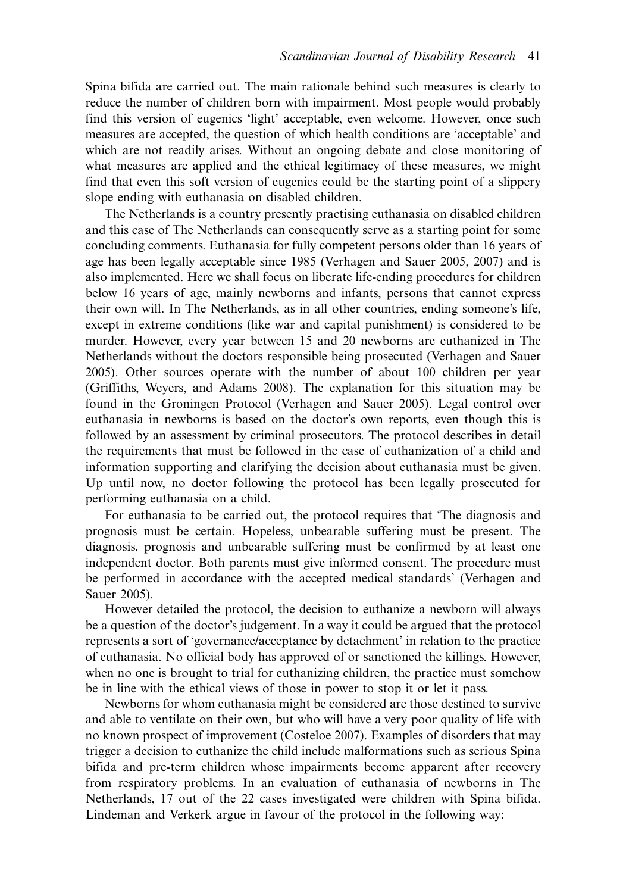Spina bifida are carried out. The main rationale behind such measures is clearly to reduce the number of children born with impairment. Most people would probably find this version of eugenics 'light' acceptable, even welcome. However, once such measures are accepted, the question of which health conditions are 'acceptable' and which are not readily arises. Without an ongoing debate and close monitoring of what measures are applied and the ethical legitimacy of these measures, we might find that even this soft version of eugenics could be the starting point of a slippery slope ending with euthanasia on disabled children.

The Netherlands is a country presently practising euthanasia on disabled children and this case of The Netherlands can consequently serve as a starting point for some concluding comments. Euthanasia for fully competent persons older than 16 years of age has been legally acceptable since 1985 (Verhagen and Sauer 2005, 2007) and is also implemented. Here we shall focus on liberate life-ending procedures for children below 16 years of age, mainly newborns and infants, persons that cannot express their own will. In The Netherlands, as in all other countries, ending someone's life, except in extreme conditions (like war and capital punishment) is considered to be murder. However, every year between 15 and 20 newborns are euthanized in The Netherlands without the doctors responsible being prosecuted (Verhagen and Sauer 2005). Other sources operate with the number of about 100 children per year (Griffiths, Weyers, and Adams 2008). The explanation for this situation may be found in the Groningen Protocol (Verhagen and Sauer 2005). Legal control over euthanasia in newborns is based on the doctor's own reports, even though this is followed by an assessment by criminal prosecutors. The protocol describes in detail the requirements that must be followed in the case of euthanization of a child and information supporting and clarifying the decision about euthanasia must be given. Up until now, no doctor following the protocol has been legally prosecuted for performing euthanasia on a child.

For euthanasia to be carried out, the protocol requires that 'The diagnosis and prognosis must be certain. Hopeless, unbearable suffering must be present. The diagnosis, prognosis and unbearable suffering must be confirmed by at least one independent doctor. Both parents must give informed consent. The procedure must be performed in accordance with the accepted medical standards' (Verhagen and Sauer 2005).

However detailed the protocol, the decision to euthanize a newborn will always be a question of the doctor's judgement. In a way it could be argued that the protocol represents a sort of 'governance/acceptance by detachment' in relation to the practice of euthanasia. No official body has approved of or sanctioned the killings. However, when no one is brought to trial for euthanizing children, the practice must somehow be in line with the ethical views of those in power to stop it or let it pass.

Newborns for whom euthanasia might be considered are those destined to survive and able to ventilate on their own, but who will have a very poor quality of life with no known prospect of improvement (Costeloe 2007). Examples of disorders that may trigger a decision to euthanize the child include malformations such as serious Spina bifida and pre-term children whose impairments become apparent after recovery from respiratory problems. In an evaluation of euthanasia of newborns in The Netherlands, 17 out of the 22 cases investigated were children with Spina bifida. Lindeman and Verkerk argue in favour of the protocol in the following way: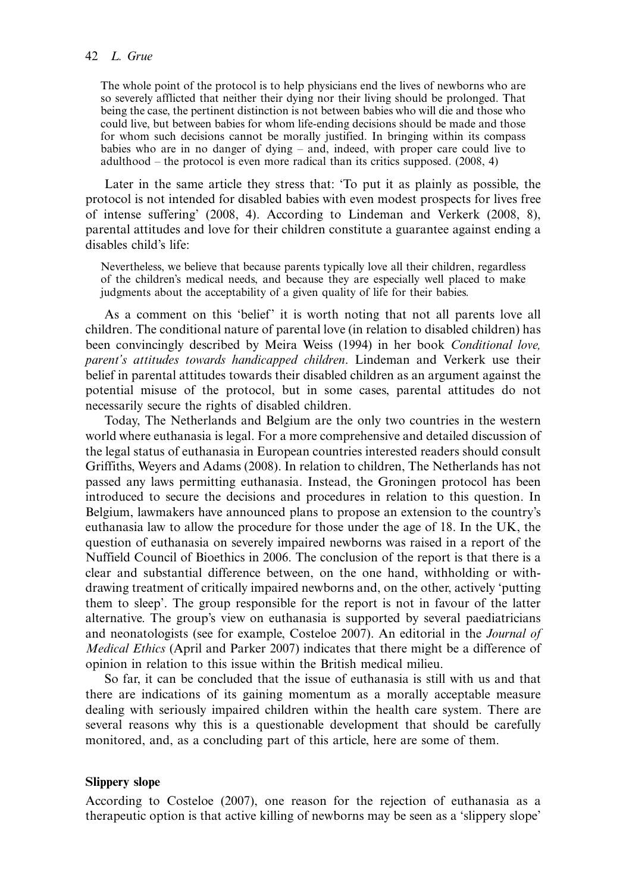#### 42 L. Grue

The whole point of the protocol is to help physicians end the lives of newborns who are so severely afflicted that neither their dying nor their living should be prolonged. That being the case, the pertinent distinction is not between babies who will die and those who could live, but between babies for whom life-ending decisions should be made and those for whom such decisions cannot be morally justified. In bringing within its compass babies who are in no danger of dying  $-$  and, indeed, with proper care could live to adulthood  $-$  the protocol is even more radical than its critics supposed. (2008, 4)

Later in the same article they stress that: 'To put it as plainly as possible, the protocol is not intended for disabled babies with even modest prospects for lives free of intense suffering' (2008, 4). According to Lindeman and Verkerk (2008, 8), parental attitudes and love for their children constitute a guarantee against ending a disables child's life:

Nevertheless, we believe that because parents typically love all their children, regardless of the children's medical needs, and because they are especially well placed to make judgments about the acceptability of a given quality of life for their babies.

As a comment on this 'belief' it is worth noting that not all parents love all children. The conditional nature of parental love (in relation to disabled children) has been convincingly described by Meira Weiss (1994) in her book Conditional love, parent's attitudes towards handicapped children. Lindeman and Verkerk use their belief in parental attitudes towards their disabled children as an argument against the potential misuse of the protocol, but in some cases, parental attitudes do not necessarily secure the rights of disabled children.

Today, The Netherlands and Belgium are the only two countries in the western world where euthanasia is legal. For a more comprehensive and detailed discussion of the legal status of euthanasia in European countries interested readers should consult Griffiths, Weyers and Adams (2008). In relation to children, The Netherlands has not passed any laws permitting euthanasia. Instead, the Groningen protocol has been introduced to secure the decisions and procedures in relation to this question. In Belgium, lawmakers have announced plans to propose an extension to the country's euthanasia law to allow the procedure for those under the age of 18. In the UK, the question of euthanasia on severely impaired newborns was raised in a report of the Nuffield Council of Bioethics in 2006. The conclusion of the report is that there is a clear and substantial difference between, on the one hand, withholding or withdrawing treatment of critically impaired newborns and, on the other, actively 'putting them to sleep'. The group responsible for the report is not in favour of the latter alternative. The group's view on euthanasia is supported by several paediatricians and neonatologists (see for example, Costeloe 2007). An editorial in the Journal of Medical Ethics (April and Parker 2007) indicates that there might be a difference of opinion in relation to this issue within the British medical milieu.

So far, it can be concluded that the issue of euthanasia is still with us and that there are indications of its gaining momentum as a morally acceptable measure dealing with seriously impaired children within the health care system. There are several reasons why this is a questionable development that should be carefully monitored, and, as a concluding part of this article, here are some of them.

### Slippery slope

According to Costeloe (2007), one reason for the rejection of euthanasia as a therapeutic option is that active killing of newborns may be seen as a 'slippery slope'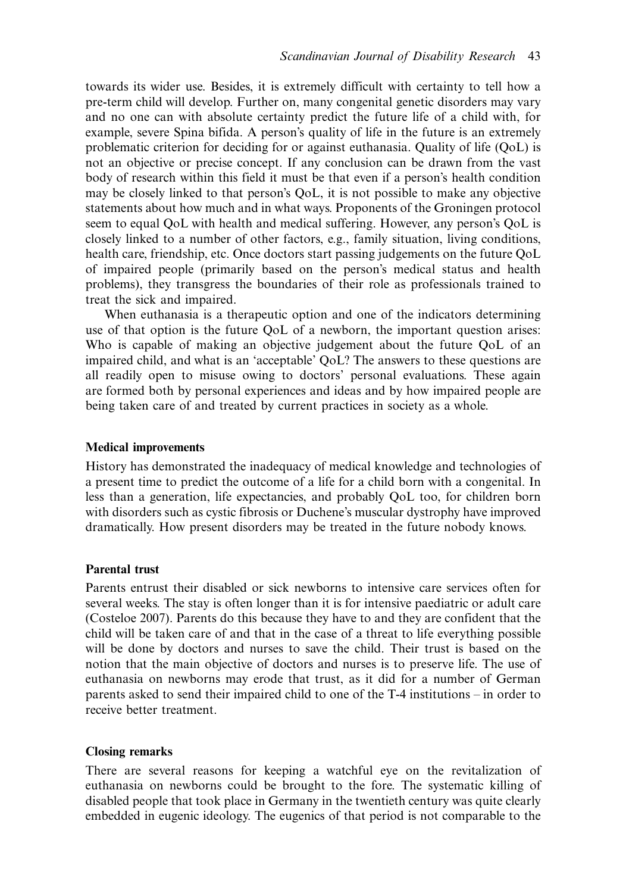towards its wider use. Besides, it is extremely difficult with certainty to tell how a pre-term child will develop. Further on, many congenital genetic disorders may vary and no one can with absolute certainty predict the future life of a child with, for example, severe Spina bifida. A person's quality of life in the future is an extremely problematic criterion for deciding for or against euthanasia. Quality of life (QoL) is not an objective or precise concept. If any conclusion can be drawn from the vast body of research within this field it must be that even if a person's health condition may be closely linked to that person's QoL, it is not possible to make any objective statements about how much and in what ways. Proponents of the Groningen protocol seem to equal QoL with health and medical suffering. However, any person's QoL is closely linked to a number of other factors, e.g., family situation, living conditions, health care, friendship, etc. Once doctors start passing judgements on the future QoL of impaired people (primarily based on the person's medical status and health problems), they transgress the boundaries of their role as professionals trained to treat the sick and impaired.

When euthanasia is a therapeutic option and one of the indicators determining use of that option is the future QoL of a newborn, the important question arises: Who is capable of making an objective judgement about the future QoL of an impaired child, and what is an 'acceptable' QoL? The answers to these questions are all readily open to misuse owing to doctors' personal evaluations. These again are formed both by personal experiences and ideas and by how impaired people are being taken care of and treated by current practices in society as a whole.

#### Medical improvements

History has demonstrated the inadequacy of medical knowledge and technologies of a present time to predict the outcome of a life for a child born with a congenital. In less than a generation, life expectancies, and probably QoL too, for children born with disorders such as cystic fibrosis or Duchene's muscular dystrophy have improved dramatically. How present disorders may be treated in the future nobody knows.

#### Parental trust

Parents entrust their disabled or sick newborns to intensive care services often for several weeks. The stay is often longer than it is for intensive paediatric or adult care (Costeloe 2007). Parents do this because they have to and they are confident that the child will be taken care of and that in the case of a threat to life everything possible will be done by doctors and nurses to save the child. Their trust is based on the notion that the main objective of doctors and nurses is to preserve life. The use of euthanasia on newborns may erode that trust, as it did for a number of German parents asked to send their impaired child to one of the  $T-4$  institutions  $-$  in order to receive better treatment.

### Closing remarks

There are several reasons for keeping a watchful eye on the revitalization of euthanasia on newborns could be brought to the fore. The systematic killing of disabled people that took place in Germany in the twentieth century was quite clearly embedded in eugenic ideology. The eugenics of that period is not comparable to the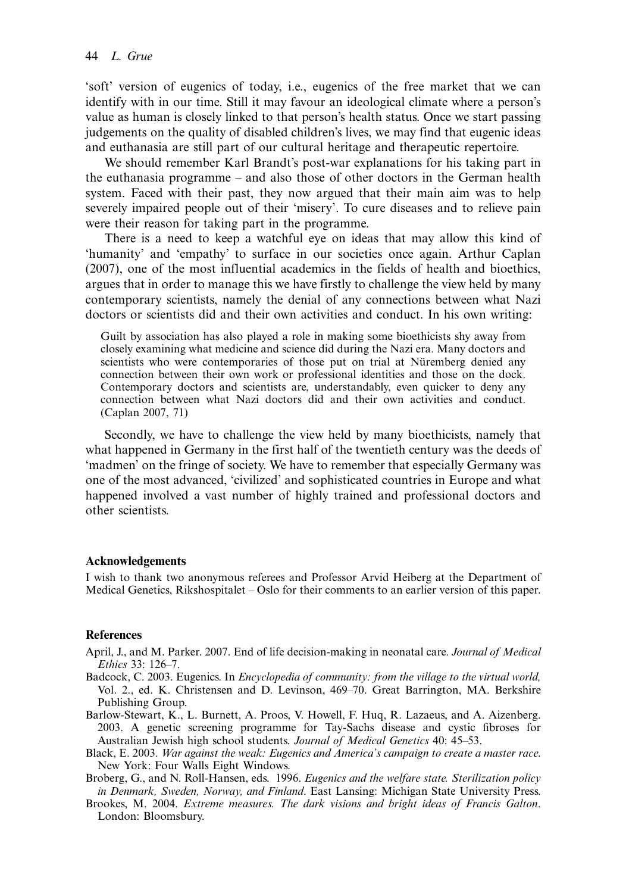'soft' version of eugenics of today, i.e., eugenics of the free market that we can identify with in our time. Still it may favour an ideological climate where a person's value as human is closely linked to that person's health status. Once we start passing judgements on the quality of disabled children's lives, we may find that eugenic ideas and euthanasia are still part of our cultural heritage and therapeutic repertoire.

We should remember Karl Brandt's post-war explanations for his taking part in the euthanasia programme  $-$  and also those of other doctors in the German health system. Faced with their past, they now argued that their main aim was to help severely impaired people out of their 'misery'. To cure diseases and to relieve pain were their reason for taking part in the programme.

There is a need to keep a watchful eye on ideas that may allow this kind of 'humanity' and 'empathy' to surface in our societies once again. Arthur Caplan (2007), one of the most influential academics in the fields of health and bioethics, argues that in order to manage this we have firstly to challenge the view held by many contemporary scientists, namely the denial of any connections between what Nazi doctors or scientists did and their own activities and conduct. In his own writing:

Guilt by association has also played a role in making some bioethicists shy away from closely examining what medicine and science did during the Nazi era. Many doctors and scientists who were contemporaries of those put on trial at Nüremberg denied any connection between their own work or professional identities and those on the dock. Contemporary doctors and scientists are, understandably, even quicker to deny any connection between what Nazi doctors did and their own activities and conduct. (Caplan 2007, 71)

Secondly, we have to challenge the view held by many bioethicists, namely that what happened in Germany in the first half of the twentieth century was the deeds of 'madmen' on the fringe of society. We have to remember that especially Germany was one of the most advanced, 'civilized' and sophisticated countries in Europe and what happened involved a vast number of highly trained and professional doctors and other scientists.

#### Acknowledgements

I wish to thank two anonymous referees and Professor Arvid Heiberg at the Department of Medical Genetics, Rikshospitalet – Oslo for their comments to an earlier version of this paper.

#### **References**

- April, J., and M. Parker. 2007. End of life decision-making in neonatal care. Journal of Medical Ethics 33: 126-7.
- Badcock, C. 2003. Eugenics. In Encyclopedia of community: from the village to the virtual world, Vol. 2., ed. K. Christensen and D. Levinson, 469–70. Great Barrington, MA. Berkshire Publishing Group.
- Barlow-Stewart, K., L. Burnett, A. Proos, V. Howell, F. Huq, R. Lazaeus, and A. Aizenberg. 2003. A genetic screening programme for Tay-Sachs disease and cystic fibroses for Australian Jewish high school students. Journal of Medical Genetics 40: 45–53.
- Black, E. 2003. War against the weak: Eugenics and America's campaign to create a master race. New York: Four Walls Eight Windows.
- Broberg, G., and N. Roll-Hansen, eds. 1996. Eugenics and the welfare state. Sterilization policy in Denmark, Sweden, Norway, and Finland. East Lansing: Michigan State University Press.
- Brookes, M. 2004. Extreme measures. The dark visions and bright ideas of Francis Galton. London: Bloomsbury.